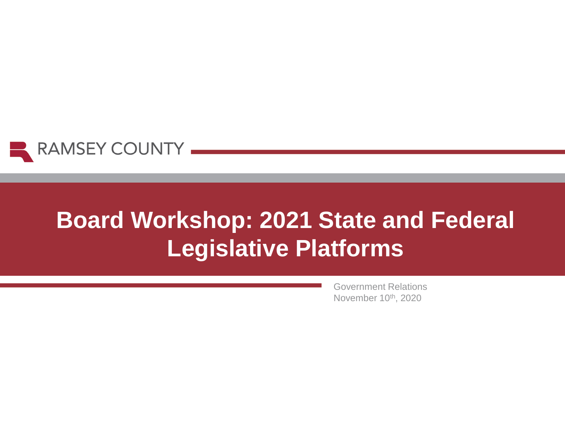

# **Board Workshop: 2021 State and Federal Legislative Platforms**

Government Relations November 10<sup>th</sup>, 2020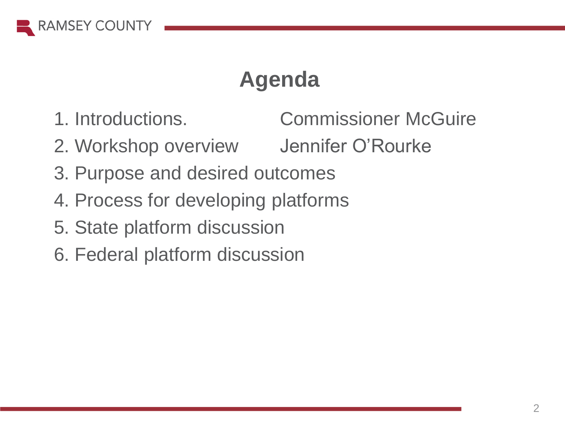

# **Agenda**

1. Introductions. Commissioner McGuire

- 2. Workshop overview Jennifer O'Rourke
- 3. Purpose and desired outcomes
- 4. Process for developing platforms
- 5. State platform discussion
- 6. Federal platform discussion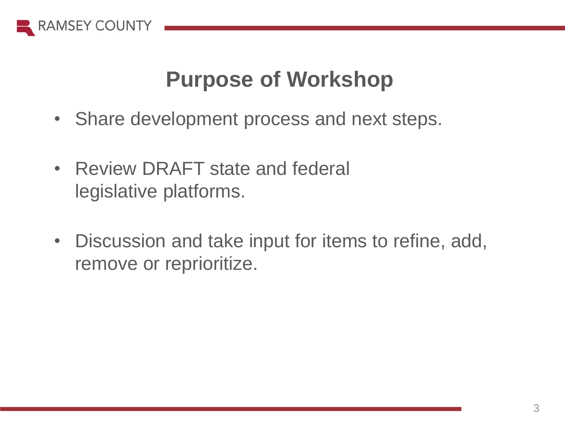

## **Purpose of Workshop**

- Share development process and next steps.
- Review DRAFT state and federal legislative platforms.
- Discussion and take input for items to refine, add, remove or reprioritize.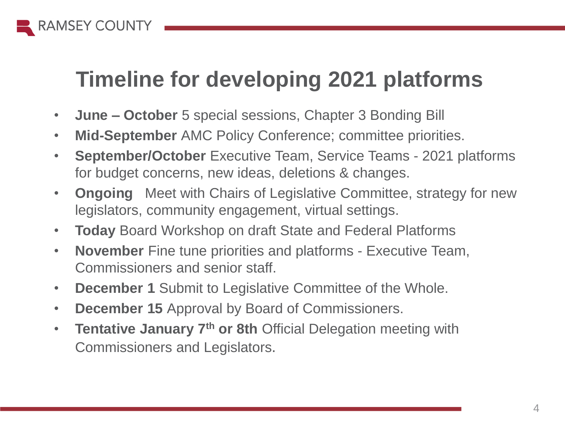

# **Timeline for developing 2021 platforms**

- **June – October** 5 special sessions, Chapter 3 Bonding Bill
- **Mid-September** AMC Policy Conference; committee priorities.
- **September/October** Executive Team, Service Teams 2021 platforms for budget concerns, new ideas, deletions & changes.
- **Ongoing** Meet with Chairs of Legislative Committee, strategy for new legislators, community engagement, virtual settings.
- **Today** Board Workshop on draft State and Federal Platforms
- **November** Fine tune priorities and platforms Executive Team, Commissioners and senior staff.
- **December 1** Submit to Legislative Committee of the Whole.
- **December 15** Approval by Board of Commissioners.
- **Tentative January 7th or 8th** Official Delegation meeting with Commissioners and Legislators.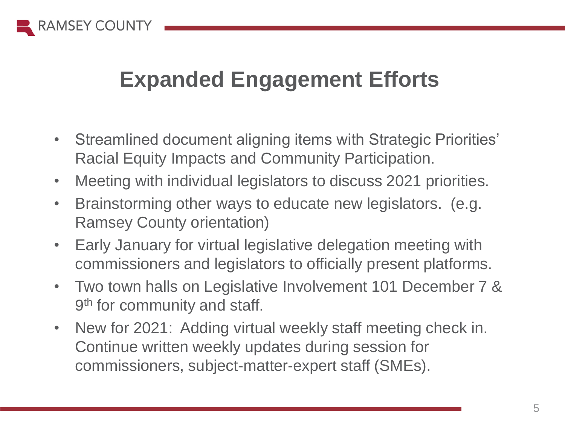

# **Expanded Engagement Efforts**

- Streamlined document aligning items with Strategic Priorities' Racial Equity Impacts and Community Participation.
- Meeting with individual legislators to discuss 2021 priorities.
- Brainstorming other ways to educate new legislators. (e.g. Ramsey County orientation)
- Early January for virtual legislative delegation meeting with commissioners and legislators to officially present platforms.
- Two town halls on Legislative Involvement 101 December 7 & 9<sup>th</sup> for community and staff.
- New for 2021: Adding virtual weekly staff meeting check in. Continue written weekly updates during session for commissioners, subject-matter-expert staff (SMEs).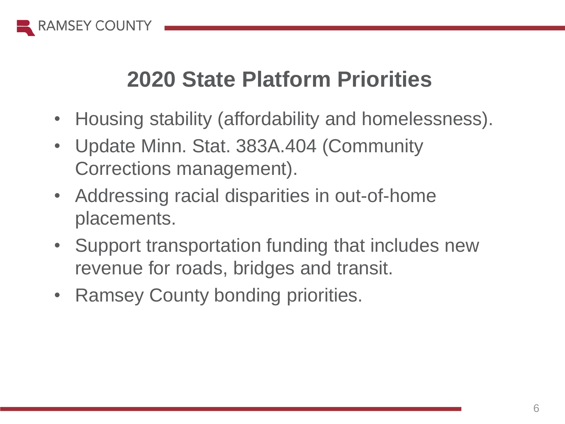

# **2020 State Platform Priorities**

- Housing stability (affordability and homelessness).
- Update Minn. Stat. 383A.404 (Community Corrections management).
- Addressing racial disparities in out-of-home placements.
- Support transportation funding that includes new revenue for roads, bridges and transit.
- Ramsey County bonding priorities.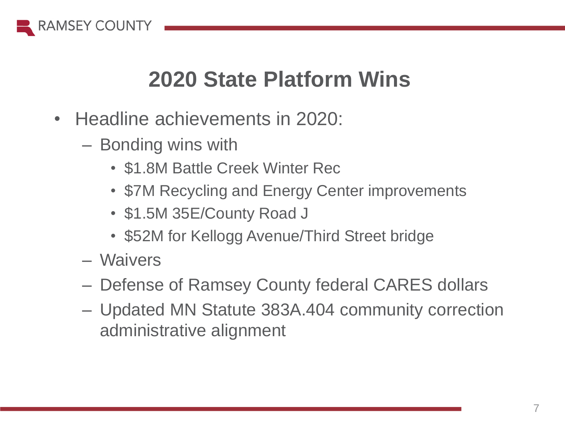

## **2020 State Platform Wins**

- Headline achievements in 2020:
	- Bonding wins with
		- \$1.8M Battle Creek Winter Rec
		- \$7M Recycling and Energy Center improvements
		- \$1.5M 35E/County Road J
		- \$52M for Kellogg Avenue/Third Street bridge
	- Waivers
	- Defense of Ramsey County federal CARES dollars
	- Updated MN Statute 383A.404 community correction administrative alignment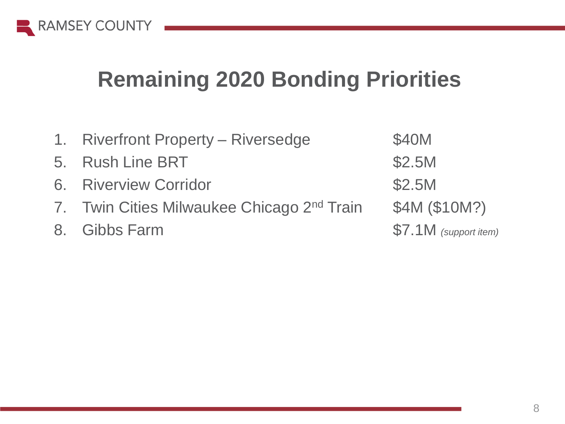

## **Remaining 2020 Bonding Priorities**

| 1. Riverfront Property - Riversedge                    | \$40M                 |
|--------------------------------------------------------|-----------------------|
| 5. Rush Line BRT                                       | \$2.5M                |
| 6. Riverview Corridor                                  | \$2.5M                |
| 7. Twin Cities Milwaukee Chicago 2 <sup>nd</sup> Train | \$4M (\$10M?)         |
| 8. Gibbs Farm                                          | \$7.1M (support item) |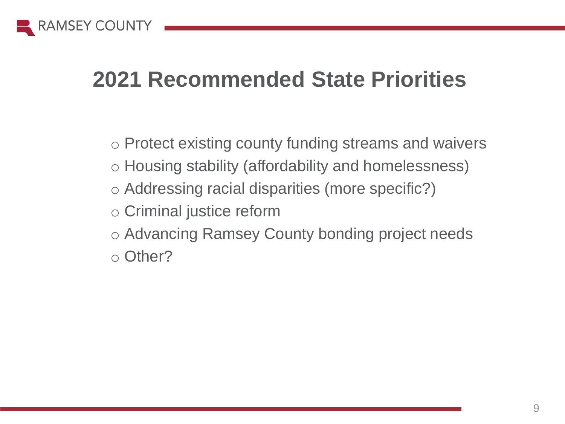

## **2021 Recommended State Priorities**

- o Protect existing county funding streams and waivers
- o Housing stability (affordability and homelessness)
- o Addressing racial disparities (more specific?)
- o Criminal justice reform
- o Advancing Ramsey County bonding project needs
- o Other?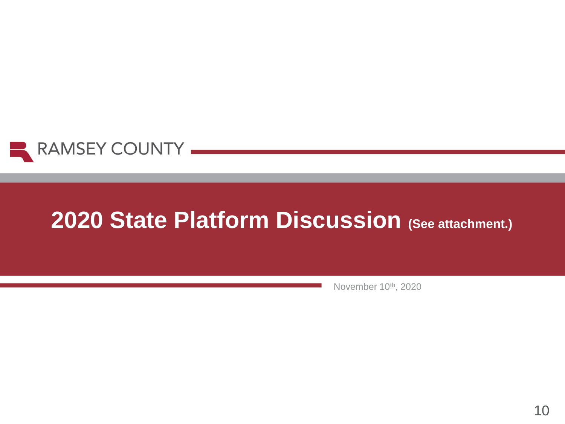

# **2020 State Platform Discussion (See attachment.)**

November 10th, 2020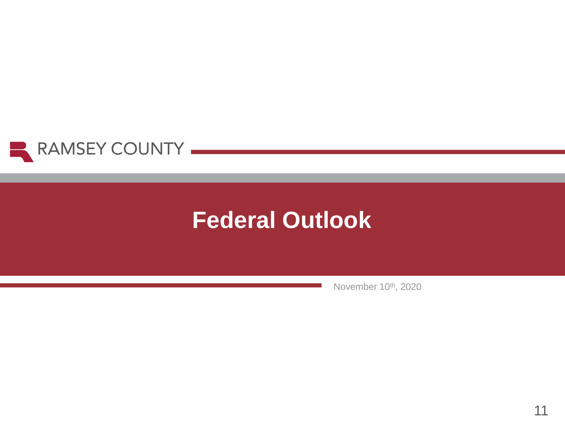

# **Federal Outlook**

November 10th, 2020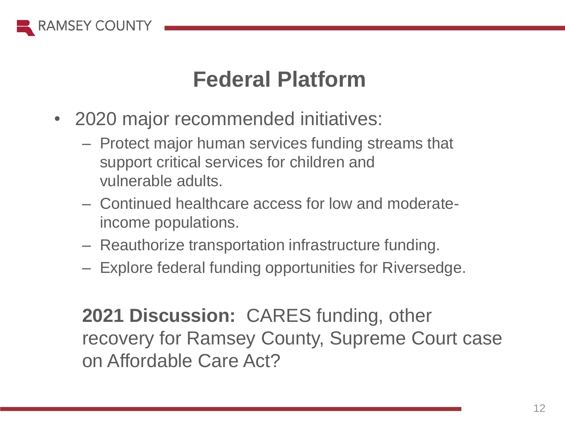

## **Federal Platform**

- 2020 major recommended initiatives:
	- Protect major human services funding streams that support critical services for children and vulnerable adults.
	- Continued healthcare access for low and moderateincome populations.
	- Reauthorize transportation infrastructure funding.
	- Explore federal funding opportunities for Riversedge.

**2021 Discussion:** CARES funding, other recovery for Ramsey County, Supreme Court case on Affordable Care Act?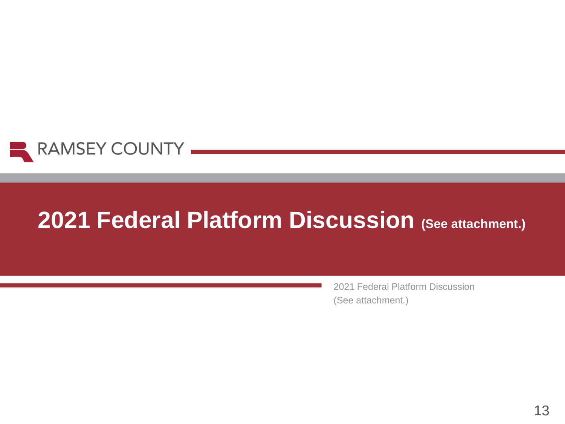

# **2021 Federal Platform Discussion (See attachment.)**

2021 Federal Platform Discussion (See attachment.)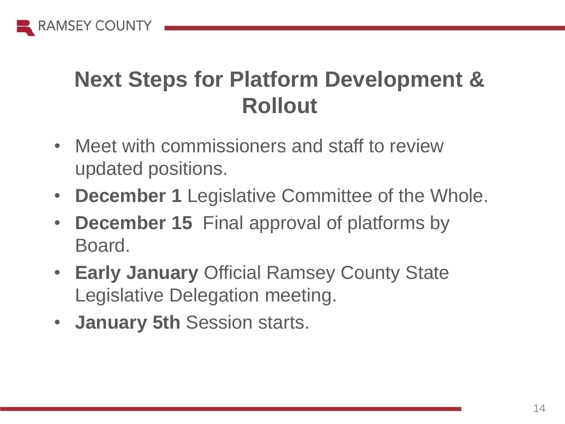

# **Next Steps for Platform Development & Rollout**

- Meet with commissioners and staff to review updated positions.
- **December 1** Legislative Committee of the Whole.
- **December 15** Final approval of platforms by Board.
- **Early January** Official Ramsey County State Legislative Delegation meeting.
- **January 5th** Session starts.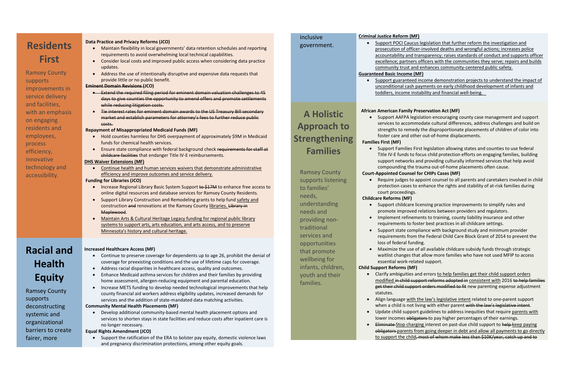| <b>Residents</b><br><b>First</b><br><b>Ramsey County</b><br>supports<br>improvements in<br>service delivery<br>and facilities,<br>with an emphasis<br>on engaging<br>residents and<br>employees,<br>process<br>efficiency,<br>innovative<br>technology and<br>accessibility. | <b>Data Practice and Privacy Reforms (JCO)</b><br>Maintain flexibility in local governments' data retention schedules and reporting<br>$\bullet$<br>requirements to avoid overwhelming local technical capabilities.<br>Consider local costs and improved public access when considering data practice<br>$\bullet$<br>updates.<br>Address the use of intentionally disruptive and expensive data requests that<br>$\bullet$<br>provide little or no public benefit.<br><b>Eminent Domain Revisions (JCO)</b><br>• Extend the required filing period for eminent domain valuation challenges to 45<br>days to give counties the opportunity to amend offers and promote settlements<br>while reducing litigation costs.<br>Tie interest rates for eminent domain awards to the US Treasury Bill secondary<br>$\bullet$<br>market and establish parameters for attorney's fees to further reduce public<br>costs.<br><b>Repayment of Misappropriated Medicaid Funds (MF)</b><br>Hold counties harmless for DHS overpayment of approximately \$9M in Medicaid<br>$\bullet$<br>funds for chemical health services.<br>Ensure state compliance with federal background check requirements for staff at<br>childcare facilities that endanger Title IV-E reimbursements.<br><b>DHS Waiver Extensions (MF)</b><br>Continue health and human services waivers that demonstrate administrative<br>efficiency and improve outcomes and service delivery.<br><b>Funding for Libraries (JCO)</b><br>Increase Regional Library Basic System Support to \$17M to enhance free access to<br>$\bullet$<br>online digital resources and database services for Ramsey County Residents.<br>Support Library Construction and Remodeling grants to help fund safety and<br>$\bullet$<br>construction and renovations at the Ramsey County libraries. Library in<br>Maplewood.<br>Maintain Arts & Cultural Heritage Legacy funding for regional public library<br>systems to support arts, arts education, and arts access, and to preserve<br>Minnesota's history and cultural heritage. | inclusive<br>government.<br><b>A Holistic</b><br><b>Approach to</b><br><b>Strengthening</b><br><b>Families</b><br><b>Ramsey County</b><br>supports listening<br>to families'<br>needs,<br>understanding<br>needs and<br>providing non-<br>traditional<br>services and | <b>Criminal Justice Reform (MI</b><br><b>Support POCI Caucu</b><br>prosecution of office<br>accountability and t<br>excellence; partners<br>community trust and<br><b>Guaranteed Basic Income (I)</b><br>Support guaranteed<br>unconditional cash p<br>toddlers, income ins<br><b>African American Family P</b><br>• Support AAFPA leg<br>services to accomn<br>strengths to remed<br>foster care and oth<br><b>Families First (MF)</b><br><b>Support Families Fi</b><br>Title IV-E funds to f<br>support networks a<br>compounding the t<br><b>Court-Appointed Counsel</b><br>Require judges to a<br>protection cases to<br>court proceedings.<br><b>Childcare Reforms (MF)</b><br>Support childcare I<br>promote improved<br>Implement refinem<br>$\bullet$<br>requirements to fo<br>Support state com<br>requirements from |
|------------------------------------------------------------------------------------------------------------------------------------------------------------------------------------------------------------------------------------------------------------------------------|-----------------------------------------------------------------------------------------------------------------------------------------------------------------------------------------------------------------------------------------------------------------------------------------------------------------------------------------------------------------------------------------------------------------------------------------------------------------------------------------------------------------------------------------------------------------------------------------------------------------------------------------------------------------------------------------------------------------------------------------------------------------------------------------------------------------------------------------------------------------------------------------------------------------------------------------------------------------------------------------------------------------------------------------------------------------------------------------------------------------------------------------------------------------------------------------------------------------------------------------------------------------------------------------------------------------------------------------------------------------------------------------------------------------------------------------------------------------------------------------------------------------------------------------------------------------------------------------------------------------------------------------------------------------------------------------------------------------------------------------------------------------------------------------------------------------------------------------------------------------------------------------------------------------------------------------------------------------------------------------------------------------------------------------------------------------------|-----------------------------------------------------------------------------------------------------------------------------------------------------------------------------------------------------------------------------------------------------------------------|-------------------------------------------------------------------------------------------------------------------------------------------------------------------------------------------------------------------------------------------------------------------------------------------------------------------------------------------------------------------------------------------------------------------------------------------------------------------------------------------------------------------------------------------------------------------------------------------------------------------------------------------------------------------------------------------------------------------------------------------------------------------------------------------------------------------------------|
| <b>Racial and</b><br><b>Health</b><br><b>Equity</b><br><b>Ramsey County</b><br>supports<br>deconstructing<br>systemic and<br>organizational<br>barriers to create<br>fairer, more                                                                                            | <b>Increased Healthcare Access (MF)</b><br>Continue to preserve coverage for dependents up to age 26, prohibit the denial of<br>$\bullet$<br>coverage for preexisting conditions and the use of lifetime caps for coverage.<br>Address racial disparities in healthcare access, quality and outcomes.<br>$\bullet$<br>Enhance Medicaid asthma services for children and their families by providing<br>$\bullet$<br>home assessment, allergen-reducing equipment and parental education.<br>Increase METS funding to develop needed technological improvements that help<br>$\bullet$<br>county financial aid workers address eligibility updates, increased demands for<br>services and the addition of state-mandated data matching activities.<br><b>Community Mental Health Placements (MF)</b><br>Develop additional community-based mental health placement options and<br>services to shorten stays in state facilities and reduce costs after inpatient care is<br>no longer necessary.<br><b>Equal Rights Amendment (JCO)</b><br>Support the ratification of the ERA to bolster pay equity, domestic violence laws<br>$\bullet$<br>and pregnancy discrimination protections, among other equity goals.                                                                                                                                                                                                                                                                                                                                                                                                                                                                                                                                                                                                                                                                                                                                                                                                                                                       | opportunities<br>that promote<br>wellbeing for<br>infants, children,<br>youth and their<br>families.                                                                                                                                                                  | loss of federal fund<br>Maximize the use o<br>waitlist changes th<br>essential work-rela<br><b>Child Support Reforms (MF)</b><br>Clarify ambiguities a<br>modified in child sup<br>get their child suppe<br>statutes.<br>Align language with<br>when a child is not li<br>Update child suppor<br>lower incomes oblig<br>Eliminate Stop charg<br>obligators parents fr<br>to support the child                                                                                                                                                                                                                                                                                                                                                                                                                                 |

### **Criminal Justice Reform (MF)**

I Caucus legislation that further reform the investigation and of officer-involved deaths and wrongful actions; increases police ty and transparency; raises standards of conduct and supports officer artners officers with the communities they serve; repairs and builds crust and enhances community-centered public safety.

### **come (MF)**

ranteed income demonstration projects to understand the impact of al cash payments on early childhood development of infants and ome instability and financial well-being.

### **Algerican Act (MF)**

FPA legislation encouraging county case management and support accommodate cultural differences, address challenges and build on o remedy the disproportionate placements of children of color into and other out-of-home displacements.

milies First legislation allowing states and counties to use federal Inds to focus child protection efforts on engaging families, building tworks and providing culturally informed services that help avoid ng the trauma out-of-home placements often cause.

### **Counsel for CHIPs Cases (MF)**

lges to appoint counsel to all parents and caretakers involved in child cases to enhance the rights and stability of at-risk families during

Idcare licensing practice improvements to simplify rules and proved relations between providers and regulators.

refinements to training, county liability insurance and other rts to foster best practices in all childcare settings.

te compliance with background study and minimum provider its from the Federal Child Care Block Grant of 2014 to prevent the ral funding.

he use of all available childcare subsidy funds through strategic nges that allow more families who have not used MFIP to access ork-related support.

### **Child Support Reforms (MF)**

guities and errors to help families get their child support orders child support reforms adopted in consistent with 2016 to help families d support orders modified to fit new parenting expense adjustment

ge with the law's legislative intent related to one-parent support is not living with either parent with the law's legislative intent. support guidelines to address inequities that require parents with es obligators to pay higher percentages of their earnings. op charging interest on past-due child support to help keep paying arents from going deeper in debt and allow all payments to go directly the child<del>, most of whom make less than \$10K/year, catch up and to</del>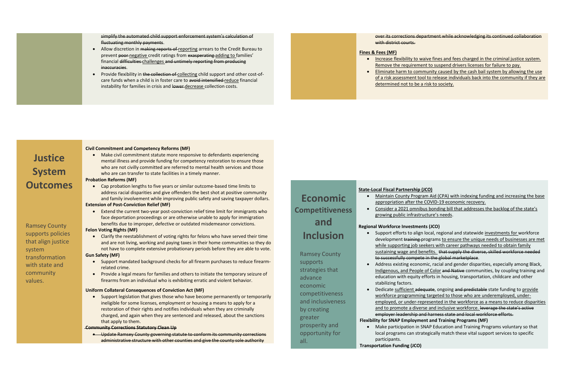simplify the automated child support enforcement system's calculation of fluctuating monthly payments.

- Allow discretion in making reports of reporting arrears to the Credit Bureau to prevent poor negative credit ratings from exasperating adding to families' financial difficulties challenges and untimely reporting from producing inaccuracies.
- Provide flexibility in the collection of collecting child support and other cost-ofcare funds when a child is in foster care to avoid intensified reduce financial instability for families in crisis and lower decrease collection costs.

### with district courts.

 Make civil commitment statute more responsive to defendants experiencing mental illness and provide funding for competency restoration to ensure those who are not civilly committed are referred to mental health services and those who are can transfer to state facilities in a timely manner.

### **Justice System Outcomes**

Ramsey County supports policies that align justice system transformation with state and community values.

#### **Civil Commitment and Competency Reforms (MF)**

#### **Probation Reforms (MF)**

 Cap probation lengths to five years or similar outcome-based time limits to address racial disparities and give offenders the best shot at positive community and family involvement while improving public safety and saving taxpayer dollars.

• Support legislation that gives those who have become permanently or temporarily ineligible for some licenses, employment or housing a means to apply for a restoration of their rights and notifies individuals when they are criminally charged, and again when they are sentenced and released, about the sanctions that apply to them.

#### **Extension of Post-Conviction Relief (MF)**

 Extend the current two-year post-conviction relief time limit for immigrants who face deportation proceedings or are otherwise unable to apply for immigration benefits due to improper, defective or outdated misdemeanor convictions.

#### **Felon Voting Rights (MF)**

 Clarify the reestablishment of voting rights for felons who have served their time and are not living, working and paying taxes in their home communities so they do not have to complete extensive probationary periods before they are able to vote.

#### **Gun Safety (MF)**

- Support mandated background checks for all firearm purchases to reduce firearmrelated crime.
- Provide a legal means for families and others to initiate the temporary seizure of firearms from an individual who is exhibiting erratic and violent behavior.

• Support efforts to align local, regional and statewide investments for workforce development training programs to ensure the unique needs of businesses are met while supporting job seekers with career pathways needed to obtain family sustaining wage and benefits. that supply the diverse, skilled workforce needed to successfully compete in the global marketplace.

#### **Uniform Collateral Consequences of Conviction Act (MF)**

• Dedicate sufficient adequate, ongoing and predictable state funding to provide workforce programming targeted to those who are underemployed, underemployed, or under-represented in the workforce as a means to reduce disparities and to promote a diverse and inclusive workforce. leverage the state's active employer leadership and harness state and local workforce efforts. **Flexibility for SNAP Employment and Training Programs (MF)**

#### **Community Corrections Statutory Clean Up**

 Update Ramsey County governing statute to conform its community corrections administrative structure with other counties and give the county sole authority

over its corrections department while acknowledging its continued collaboration

#### **Fines & Fees (MF)**

 Increase flexibility to waive fines and fees charged in the criminal justice system. Remove the requirement to suspend drivers licenses for failure to pay. Eliminate harm to community caused by the cash bail system by allowing the use of a risk assessment tool to release individuals back into the community if they are

- 
- determined not to be a risk to society.

### **Economic Competitiveness and Inclusion**

Ramsey County supports strategies that advance economic competitiveness and inclusiveness by creating greater prosperity and opportunity for all.

#### **State-Local Fiscal Partnership (JCO)**

 Maintain County Program Aid (CPA) with indexing funding and increasing the base appropriation after the COVID-19 economic recovery.

Consider a 2021 omnibus bonding bill that addresses the backlog of the state's

- 
- growing public infrastructure's needs.

#### **Regional Workforce Investments (JCO)**

 Address existing economic, racial and gender disparities, especially among Black, Indigenous, and People of Color and Native communities, by coupling training and education with equity efforts in housing, transportation, childcare and other

- 
- stabilizing factors.
- 

 Make participation in SNAP Education and Training Programs voluntary so that local programs can strategically match these vital support services to specific

- participants.
- **Transportation Funding (JCO)**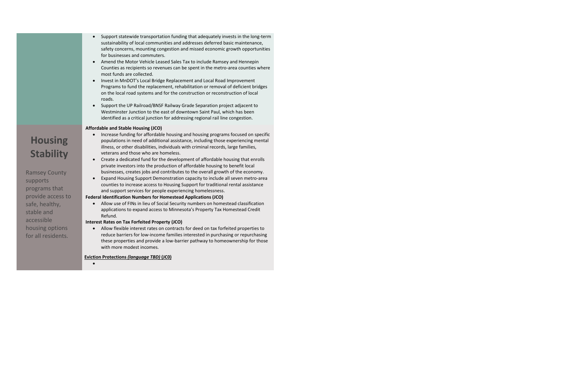- Support statewide transportation funding that adequately invests in the long-term sustainability of local communities and addresses deferred basic maintenance, safety concerns, mounting congestion and missed economic growth opportunities for businesses and commuters.
- Amend the Motor Vehicle Leased Sales Tax to include Ramsey and Hennepin Counties as recipients so revenues can be spent in the metro-area counties where most funds are collected.
- Invest in MnDOT's Local Bridge Replacement and Local Road Improvement Programs to fund the replacement, rehabilitation or removal of deficient bridges on the local road systems and for the construction or reconstruction of local roads.
- Support the UP Railroad/BNSF Railway Grade Separation project adjacent to Westminster Junction to the east of downtown Saint Paul, which has been identified as a critical junction for addressing regional rail line congestion.

- Increase funding for affordable housing and housing programs focused on specific populations in need of additional assistance, including those experiencing mental illness, or other disabilities, individuals with criminal records, large families, veterans and those who are homeless.
- Create a dedicated fund for the development of affordable housing that enrolls private investors into the production of affordable housing to benefit local businesses, creates jobs and contributes to the overall growth of the economy.
- Expand Housing Support Demonstration capacity to include all seven metro-area counties to increase access to Housing Support for traditional rental assistance and support services for people experiencing homelessness.

### **Housing Stability**

Ramsey County supports programs that provide access to safe, healthy, stable and accessible housing options for all residents.

#### **Affordable and Stable Housing (JCO)**

#### **Federal Identification Numbers for Homestead Applications (JCO)**

 Allow use of FINs in lieu of Social Security numbers on homestead classification applications to expand access to Minnesota's Property Tax Homestead Credit Refund.

#### **Interest Rates on Tax Forfeited Property (JCO)**

 Allow flexible interest rates on contracts for deed on tax forfeited properties to reduce barriers for low-income families interested in purchasing or repurchasing these properties and provide a low-barrier pathway to homeownership for those with more modest incomes.

#### **Eviction Protections** *(language TBD)* **(JC0)**

 $\bullet$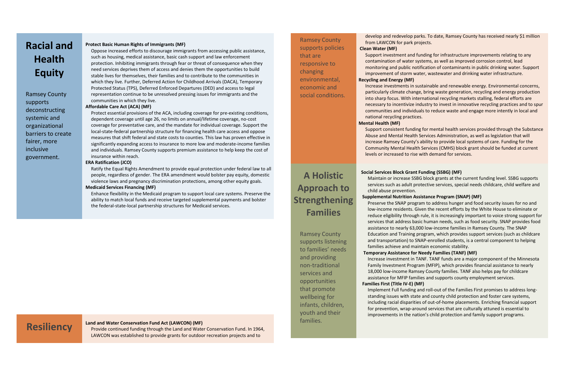### **Racial and Health Equity**

Ramsey County supports deconstructing systemic and organizational barriers to create fairer, more inclusive government.

#### **Protect Basic Human Rights of Immigrants (MF)**

Oppose increased efforts to discourage immigrants from accessing public assistance, such as housing, medical assistance, basic cash support and law enforcement protection. Inhibiting immigrants through fear or threat of consequence when they need services deprives them of access and denies them the opportunities to build stable lives for themselves, their families and to contribute to the communities in which they live. Further, Deferred Action for Childhood Arrivals (DACA), Temporary Protected Status (TPS), Deferred Enforced Departures (DED) and access to legal representation continue to be unresolved pressing issues for immigrants and the communities in which they live.

#### **Affordable Care Act (ACA) (MF)**

**Resiliency** Land and Water Conservation Fund Act (LAWCON) (MF)<br>
Provide continued funding through the Land and Water Conservation Fund. In 1964, LAWCON was established to provide grants for outdoor recreation projects and to

Protect essential provisions of the ACA, including coverage for pre-existing conditions, dependent coverage until age 26, no limits on annual/lifetime coverage, no-cost coverage for preventative care, and the mandate for individual coverage. Support the local-state-federal partnership structure for financing health care access and oppose measures that shift federal and state costs to counties. This law has proven effective in significantly expanding access to insurance to more low and moderate-income families and individuals. Ramsey County supports premium assistance to help keep the cost of insurance within reach.

#### **ERA Ratification (JCO)**

Ratify the Equal Rights Amendment to provide equal protection under federal law to all people, regardless of gender. The ERA amendment would bolster pay equity, domestic violence laws and pregnancy discrimination protections, among other equity goals. **Medicaid Services Financing (MF)**

#### Enhance flexibility in the Medicaid program to support local care systems. Preserve the ability to match local funds and receive targeted supplemental payments and bolster the federal-state-local partnership structures for Medicaid services.

Ramsey County supports policies that are responsive to changing environmental, economic and social conditions. develop and redevelop parks. To date, Ramsey County has received nearly \$1 million

### from LAWCON for park projects. **Clean Water (MF)**

Support investment and funding for infrastructure improvements relating to any contamination of water systems, as well as improved corrosion control, lead monitoring and public notification of contaminants in public drinking water. Support improvement of storm water, wastewater and drinking water infrastructure. **Recycling and Energy (MF)**

Increase investments in sustainable and renewable energy. Environmental concerns, particularly climate change, bring waste generation, recycling and energy production into sharp focus. With international recycling markets stalling, federal efforts are necessary to incentivize industry to invest in innovative recycling practices and to spur communities and individuals to reduce waste and engage more intently in local and national recycling practices. **Mental Health (MF)**

Support consistent funding for mental health services provided through the Substance Abuse and Mental Health Services Administration, as well as legislation that will increase Ramsey County's ability to provide local systems of care. Funding for the Community Mental Health Services (CMHS) block grant should be funded at current levels or increased to rise with demand for services.

### **A Holistic Approach to Strengthening Families**

Ramsey County supports listening to families' needs and providing non-traditional services and opportunities that promote wellbeing for infants, children, youth and their families.

## **Social Services Block Grant Funding (SSBG) (MF)** child abuse prevention.

Maintain or increase SSBG block grants at the current funding level. SSBG supports services such as adult protective services, special needs childcare, child welfare and

#### **Supplemental Nutrition Assistance Program (SNAP) (MF)**

Preserve the SNAP program to address hunger and food security issues for no and low-income residents. Given the recent efforts by the White House to eliminate or reduce eligibility through rule, it is increasingly important to voice strong support for services that address basic human needs, such as food security. SNAP provides food assistance to nearly 63,000 low-income families in Ramsey County. The SNAP Education and Training program, which provides support services (such as childcare and transportation) to SNAP-enrolled students, is a central component to helping families achieve and maintain economic stability.

#### **Temporary Assistance for Needy Families (TANF) (MF)**

Increase investment in TANF. TANF funds are a major component of the Minnesota Family Investment Program (MFIP), which provides financial assistance to nearly 18,000 low-income Ramsey County families. TANF also helps pay for childcare assistance for MFIP families and supports county employment services.

**Families First (Title IV-E) (MF)**

Implement Full funding and roll-out of the Families First promises to address longstanding issues with state and county child protection and foster care systems, including racial disparities of out-of-home placements. Enriching financial support for prevention, wrap-around services that are culturally attuned is essential to improvements in the nation's child protection and family support programs.